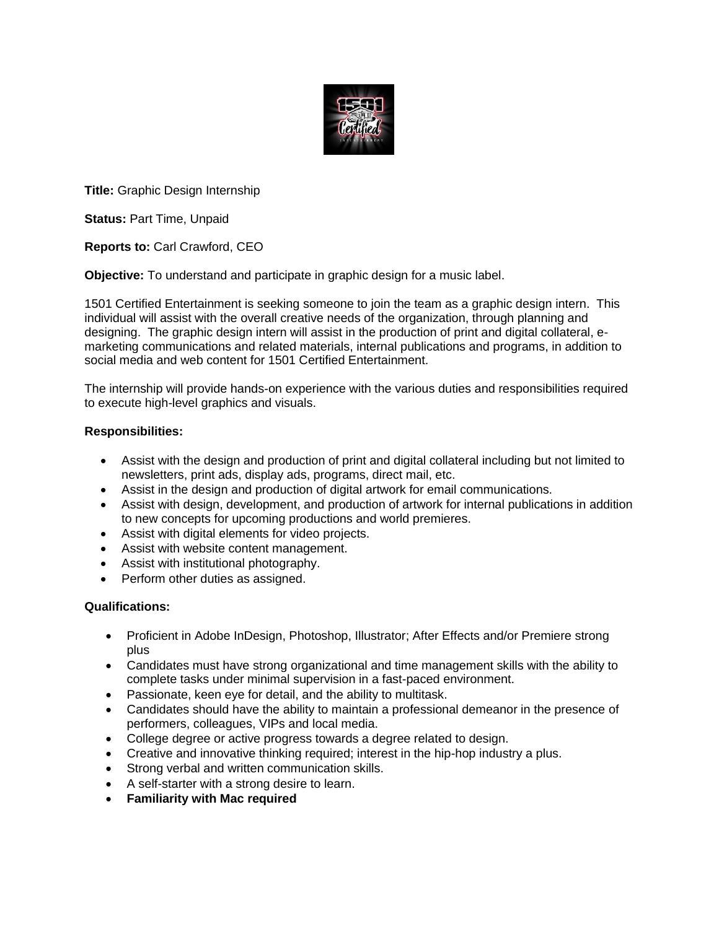

**Title:** Graphic Design Internship

**Status:** Part Time, Unpaid

**Reports to:** Carl Crawford, CEO

**Objective:** To understand and participate in graphic design for a music label.

1501 Certified Entertainment is seeking someone to join the team as a graphic design intern. This individual will assist with the overall creative needs of the organization, through planning and designing. The graphic design intern will assist in the production of print and digital collateral, emarketing communications and related materials, internal publications and programs, in addition to social media and web content for 1501 Certified Entertainment.

The internship will provide hands-on experience with the various duties and responsibilities required to execute high-level graphics and visuals.

# **Responsibilities:**

- Assist with the design and production of print and digital collateral including but not limited to newsletters, print ads, display ads, programs, direct mail, etc.
- Assist in the design and production of digital artwork for email communications.
- Assist with design, development, and production of artwork for internal publications in addition to new concepts for upcoming productions and world premieres.
- Assist with digital elements for video projects.
- Assist with website content management.
- Assist with institutional photography.
- Perform other duties as assigned.

# **Qualifications:**

- Proficient in Adobe InDesign, Photoshop, Illustrator; After Effects and/or Premiere strong plus
- Candidates must have strong organizational and time management skills with the ability to complete tasks under minimal supervision in a fast-paced environment.
- Passionate, keen eye for detail, and the ability to multitask.
- Candidates should have the ability to maintain a professional demeanor in the presence of performers, colleagues, VIPs and local media.
- College degree or active progress towards a degree related to design.
- Creative and innovative thinking required; interest in the hip-hop industry a plus.
- Strong verbal and written communication skills.
- A self-starter with a strong desire to learn.
- **Familiarity with Mac required**